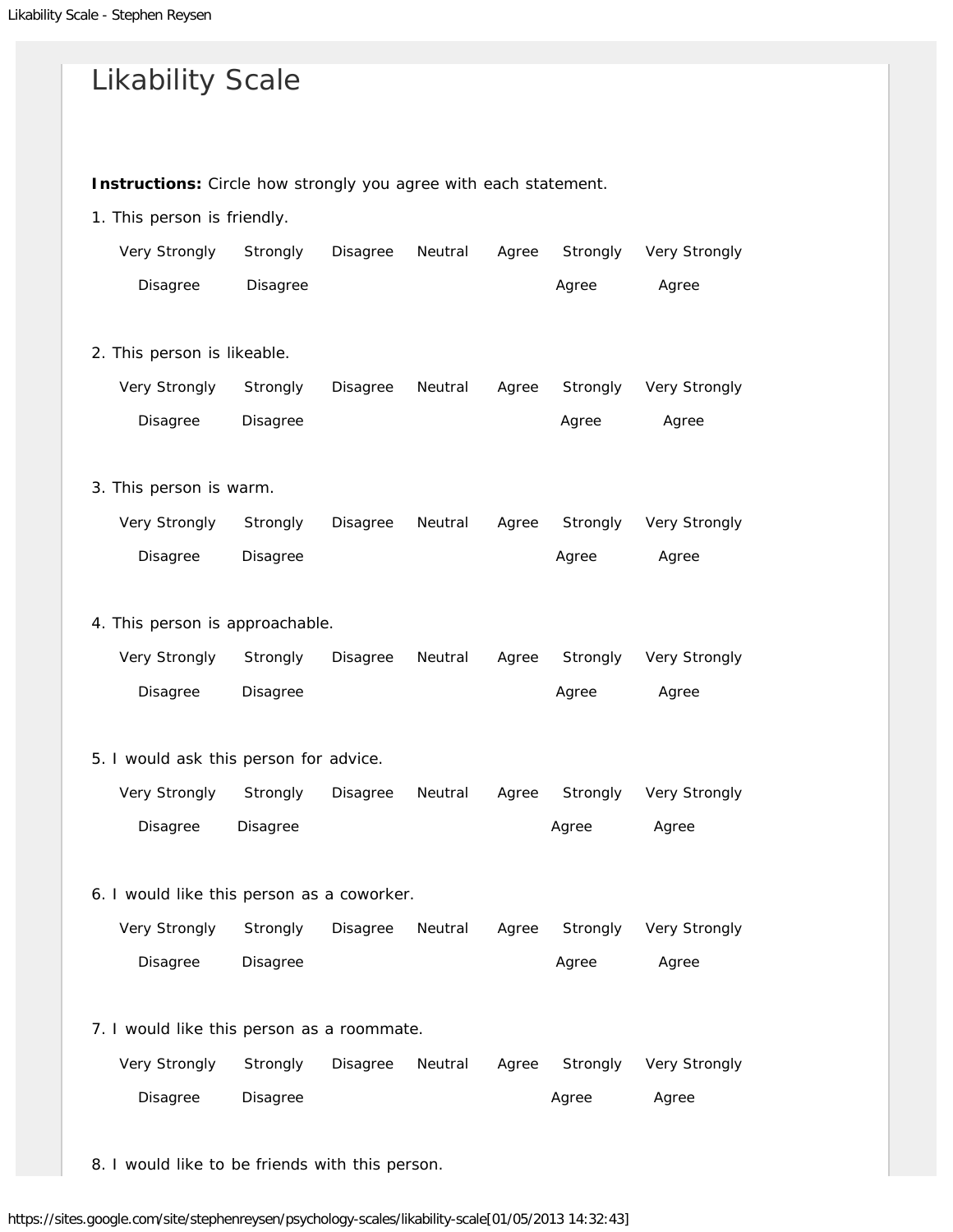| <b>Likability Scale</b>                                          |          |          |         |       |          |               |  |  |  |  |  |  |
|------------------------------------------------------------------|----------|----------|---------|-------|----------|---------------|--|--|--|--|--|--|
| Instructions: Circle how strongly you agree with each statement. |          |          |         |       |          |               |  |  |  |  |  |  |
| 1. This person is friendly.                                      |          |          |         |       |          |               |  |  |  |  |  |  |
| Very Strongly                                                    | Strongly | Disagree | Neutral | Agree | Strongly | Very Strongly |  |  |  |  |  |  |
| Disagree                                                         | Disagree |          |         |       | Agree    | Agree         |  |  |  |  |  |  |
| 2. This person is likeable.                                      |          |          |         |       |          |               |  |  |  |  |  |  |
| Very Strongly                                                    | Strongly | Disagree | Neutral | Agree | Strongly | Very Strongly |  |  |  |  |  |  |
| Disagree                                                         | Disagree |          |         |       | Agree    | Agree         |  |  |  |  |  |  |
| 3. This person is warm.                                          |          |          |         |       |          |               |  |  |  |  |  |  |
| Very Strongly                                                    | Strongly | Disagree | Neutral | Agree | Strongly | Very Strongly |  |  |  |  |  |  |
| Disagree                                                         | Disagree |          |         |       | Agree    | Agree         |  |  |  |  |  |  |
| 4. This person is approachable.                                  |          |          |         |       |          |               |  |  |  |  |  |  |
| Very Strongly                                                    | Strongly | Disagree | Neutral | Agree | Strongly | Very Strongly |  |  |  |  |  |  |
| Disagree                                                         | Disagree |          |         |       | Agree    | Agree         |  |  |  |  |  |  |
| 5. I would ask this person for advice.                           |          |          |         |       |          |               |  |  |  |  |  |  |
| Very Strongly                                                    | Strongly | Disagree | Neutral | Agree | Strongly | Very Strongly |  |  |  |  |  |  |
| Disagree                                                         | Disagree |          |         |       | Agree    | Agree         |  |  |  |  |  |  |
| 6. I would like this person as a coworker.                       |          |          |         |       |          |               |  |  |  |  |  |  |
| Very Strongly                                                    | Strongly | Disagree | Neutral | Agree | Strongly | Very Strongly |  |  |  |  |  |  |
| Disagree                                                         | Disagree |          |         |       | Agree    | Agree         |  |  |  |  |  |  |
| 7. I would like this person as a roommate.                       |          |          |         |       |          |               |  |  |  |  |  |  |
| Very Strongly                                                    | Strongly | Disagree | Neutral | Agree | Strongly | Very Strongly |  |  |  |  |  |  |
| Disagree                                                         | Disagree |          |         |       | Agree    | Agree         |  |  |  |  |  |  |
|                                                                  |          |          |         |       |          |               |  |  |  |  |  |  |

8. I would like to be friends with this person.

https://sites.google.com/site/stephenreysen/psychology-scales/likability-scale[01/05/2013 14:32:43]